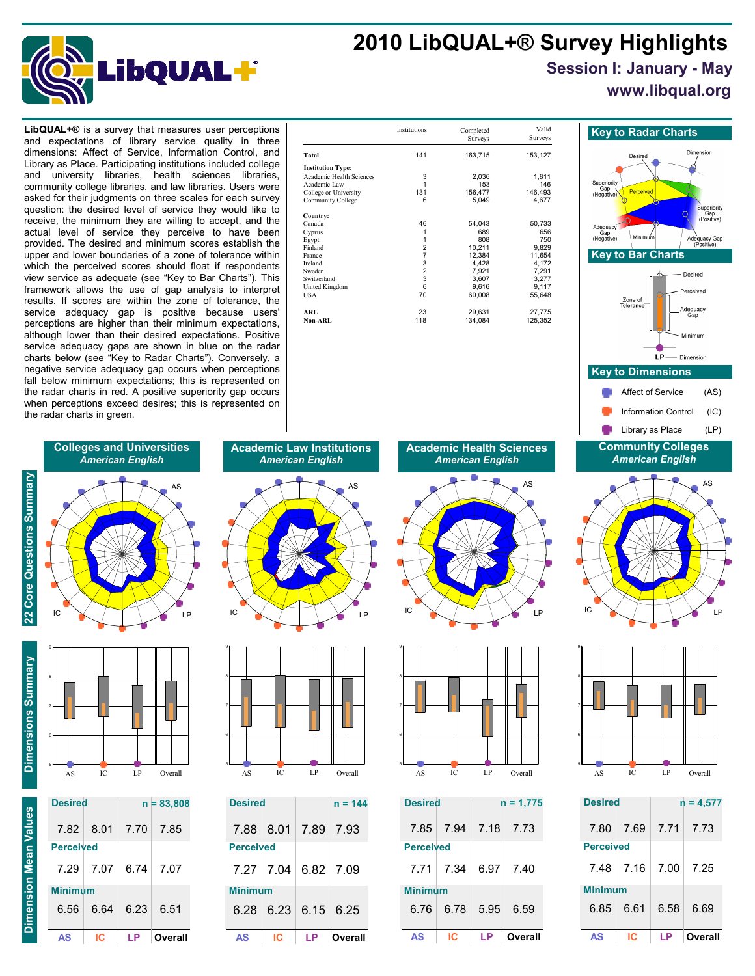# **2010 LibQUAL+® Survey Highlights**



## **Session I: January - May**

**www.libqual.org**

and expectations of library service quality in three dimensions: Affect of Service, Information Control, and Library as Place. Participating institutions included college and university libraries, health sciences libraries, community college libraries, and law libraries. Users were asked for their judgments on three scales for each survey question: the desired level of service they would like to receive, the minimum they are willing to accept, and the actual level of service they perceive to have been provided. The desired and minimum scores establish the upper and lower boundaries of a zone of tolerance within which the perceived scores should float if respondents view service as adequate (see "Key to Bar Charts"). This framework allows the use of gap analysis to interpret results. If scores are within the zone of tolerance, the service adequacy gap is positive because users' perceptions are higher than their minimum expectations, although lower than their desired expectations. Positive service adequacy gaps are shown in blue on the radar charts below (see "Key to Radar Charts"). Conversely, a negative service adequacy gap occurs when perceptions fall below minimum expectations; this is represented on the radar charts in red. A positive superiority gap occurs when perceptions exceed desires; this is represented on the radar charts in green.

| <b>LibQUAL+<math>\circledR</math></b> is a survey that measures user perceptions<br>and expectations of library service quality in three                                                                                                                                                                                                                                                                                                                                                                                                |                                                                                                                                                                      | Institutions     | Completed<br><b>Surveys</b>                                                         | Valid<br>Surveys                                                                   | <b>Key to Radar Charts</b>                                                                           |
|-----------------------------------------------------------------------------------------------------------------------------------------------------------------------------------------------------------------------------------------------------------------------------------------------------------------------------------------------------------------------------------------------------------------------------------------------------------------------------------------------------------------------------------------|----------------------------------------------------------------------------------------------------------------------------------------------------------------------|------------------|-------------------------------------------------------------------------------------|------------------------------------------------------------------------------------|------------------------------------------------------------------------------------------------------|
| dimensions: Affect of Service, Information Control, and<br>Library as Place. Participating institutions included college<br>and university libraries, health sciences<br>libraries.<br>community college libraries, and law libraries. Users were<br>asked for their judgments on three scales for each survey<br>question: the desired level of service they would like to<br>receive, the minimum they are willing to accept, and the<br>actual level of service they perceive to have been                                           | Total<br><b>Institution Type:</b><br>Academic Health Sciences<br>Academic Law<br>College or University<br>Community College<br>Country:<br>Canada<br>Cyprus<br>Egypt | 141<br>131<br>46 | 163,715<br>2,036<br>153<br>156,477<br>5,049<br>54,043<br>689<br>808                 | 153,127<br>1,811<br>146<br>146,493<br>4,677<br>50,733<br>656<br>750                | Desired<br>Superiority<br>Perceived<br>(Negative)<br>Adequacy<br>Gap<br>Minimum<br>Ade<br>(Negative) |
| provided. The desired and minimum scores establish the<br>upper and lower boundaries of a zone of tolerance within<br>which the perceived scores should float if respondents<br>view service as adequate (see "Key to Bar Charts"). This<br>framework allows the use of gap analysis to interpret<br>results. If scores are within the zone of tolerance, the<br>service adequacy gap is positive because users'<br>perceptions are higher than their minimum expectations.<br>although lower than their desired expectations. Positive | Finland<br>France<br>Ireland<br>Sweden<br>Switzerland<br>United Kingdom<br>USA<br><b>ARL</b><br>Non-ARL                                                              | 70<br>23<br>118  | 10,211<br>12,384<br>4,428<br>7,921<br>3,607<br>9,616<br>60,008<br>29,631<br>134,084 | 9,829<br>11,654<br>4,172<br>7,291<br>3,277<br>9,117<br>55,648<br>27,775<br>125,352 | <b>Key to Bar Charts</b><br>Zone of<br>Tolerance<br>Adequ<br>Gar<br>Minim                            |
|                                                                                                                                                                                                                                                                                                                                                                                                                                                                                                                                         |                                                                                                                                                                      |                  |                                                                                     |                                                                                    |                                                                                                      |







| <b>Desired</b>   |      |      | $n = 4,577$ |
|------------------|------|------|-------------|
| 7.80             | 7.69 | 7.71 | 7.73        |
| <b>Perceived</b> |      |      |             |
| 7.48             | 7.16 | 7.00 | 7.25        |
| <b>Minimum</b>   |      |      |             |
| 6.85             | 6.61 | 6.58 | 6.69        |
| AS               | ıс   | ΙP   | Overall     |

# **Colleges and Universities** *American English*



22 Core Questions Summary



| AS               | c    | I P  | Overa        |
|------------------|------|------|--------------|
| 6.56             | 6.64 | 6.23 | 6.51         |
| Minimum          |      |      |              |
| 7.29             | 7.07 | 6.74 | 7.07         |
| <b>Perceived</b> |      |      |              |
| 7.82             | 8.01 | 7.70 | 7.85         |
| <b>Desired</b>   |      |      | $n = 83,808$ |
|                  |      |      |              |

**Academic Law Institutions** *American English*





| AS               | IC.                                  | LP        | Overall   |
|------------------|--------------------------------------|-----------|-----------|
|                  | $6.28 \mid 6.23 \mid 6.15 \mid 6.25$ |           |           |
| <b>Minimum</b>   |                                      |           |           |
|                  | 7.27 7.04 6.82 7.09                  |           |           |
| <b>Perceived</b> |                                      |           |           |
|                  | 7.88 8.01                            | 7.89 7.93 |           |
| <b>Desired</b>   |                                      |           | $n = 144$ |

**Academic Health Sciences** *American English*





| <b>Desired</b>   |           |      | $n = 1,775$ |
|------------------|-----------|------|-------------|
|                  | 7.85 7.94 |      | 7.18 7.73   |
| <b>Perceived</b> |           |      |             |
| 7.71             | - 7.34    | 6.97 | 7.40        |
| <b>Minimum</b>   |           |      |             |
| 6.76             | 6.78      | 5.95 | 6.59        |
| AS               | IC.       | LP   | Overall     |